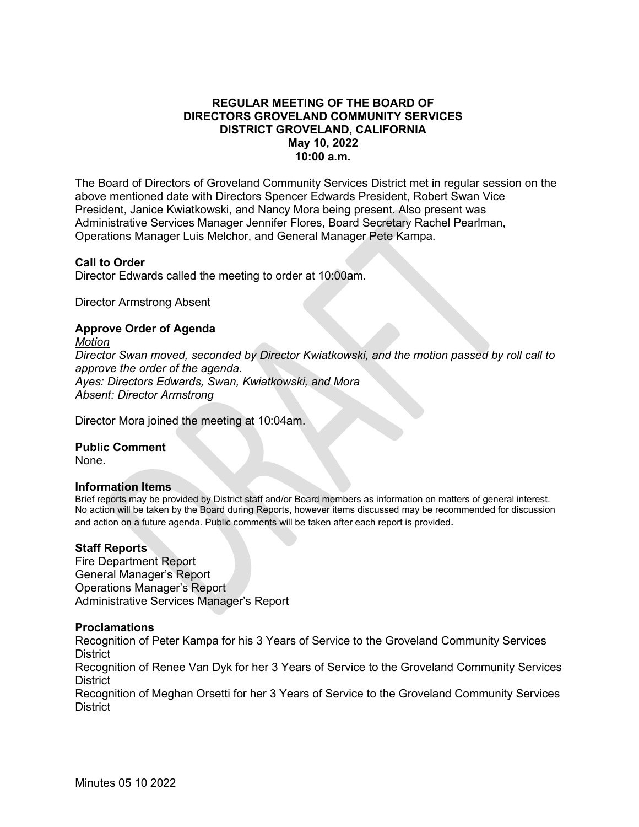# **REGULAR MEETING OF THE BOARD OF DIRECTORS GROVELAND COMMUNITY SERVICES DISTRICT GROVELAND, CALIFORNIA May 10, 2022 10:00 a.m.**

The Board of Directors of Groveland Community Services District met in regular session on the above mentioned date with Directors Spencer Edwards President, Robert Swan Vice President, Janice Kwiatkowski, and Nancy Mora being present. Also present was Administrative Services Manager Jennifer Flores, Board Secretary Rachel Pearlman, Operations Manager Luis Melchor, and General Manager Pete Kampa.

## **Call to Order**

Director Edwards called the meeting to order at 10:00am.

Director Armstrong Absent

## **Approve Order of Agenda**

*Motion Director Swan moved, seconded by Director Kwiatkowski, and the motion passed by roll call to approve the order of the agenda. Ayes: Directors Edwards, Swan, Kwiatkowski, and Mora Absent: Director Armstrong* 

Director Mora joined the meeting at 10:04am.

### **Public Comment**

None.

### **Information Items**

Brief reports may be provided by District staff and/or Board members as information on matters of general interest. No action will be taken by the Board during Reports, however items discussed may be recommended for discussion and action on a future agenda. Public comments will be taken after each report is provided.

### **Staff Reports**

Fire Department Report General Manager's Report Operations Manager's Report Administrative Services Manager's Report

## **Proclamations**

Recognition of Peter Kampa for his 3 Years of Service to the Groveland Community Services **District** 

Recognition of Renee Van Dyk for her 3 Years of Service to the Groveland Community Services **District** 

Recognition of Meghan Orsetti for her 3 Years of Service to the Groveland Community Services **District**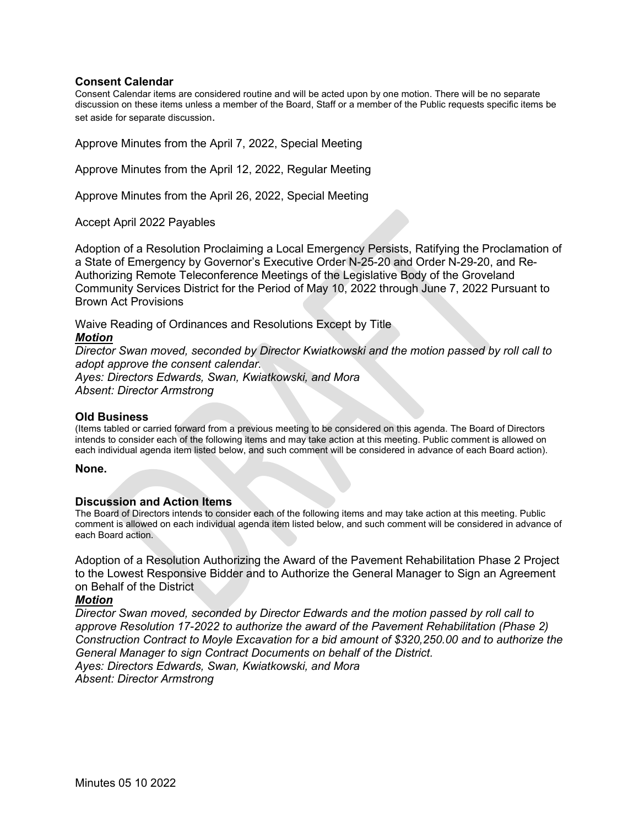### **Consent Calendar**

Consent Calendar items are considered routine and will be acted upon by one motion. There will be no separate discussion on these items unless a member of the Board, Staff or a member of the Public requests specific items be set aside for separate discussion.

Approve Minutes from the April 7, 2022, Special Meeting

Approve Minutes from the April 12, 2022, Regular Meeting

Approve Minutes from the April 26, 2022, Special Meeting

Accept April 2022 Payables

Adoption of a Resolution Proclaiming a Local Emergency Persists, Ratifying the Proclamation of a State of Emergency by Governor's Executive Order N-25-20 and Order N-29-20, and Re-Authorizing Remote Teleconference Meetings of the Legislative Body of the Groveland Community Services District for the Period of May 10, 2022 through June 7, 2022 Pursuant to Brown Act Provisions

Waive Reading of Ordinances and Resolutions Except by Title *Motion*

*Director Swan moved, seconded by Director Kwiatkowski and the motion passed by roll call to adopt approve the consent calendar. Ayes: Directors Edwards, Swan, Kwiatkowski, and Mora* 

*Absent: Director Armstrong* 

#### **Old Business**

(Items tabled or carried forward from a previous meeting to be considered on this agenda. The Board of Directors intends to consider each of the following items and may take action at this meeting. Public comment is allowed on each individual agenda item listed below, and such comment will be considered in advance of each Board action).

#### **None.**

### **Discussion and Action Items**

The Board of Directors intends to consider each of the following items and may take action at this meeting. Public comment is allowed on each individual agenda item listed below, and such comment will be considered in advance of each Board action.

Adoption of a Resolution Authorizing the Award of the Pavement Rehabilitation Phase 2 Project to the Lowest Responsive Bidder and to Authorize the General Manager to Sign an Agreement on Behalf of the District

## *Motion*

*Director Swan moved, seconded by Director Edwards and the motion passed by roll call to approve Resolution 17-2022 to authorize the award of the Pavement Rehabilitation (Phase 2) Construction Contract to Moyle Excavation for a bid amount of \$320,250.00 and to authorize the General Manager to sign Contract Documents on behalf of the District. Ayes: Directors Edwards, Swan, Kwiatkowski, and Mora Absent: Director Armstrong*